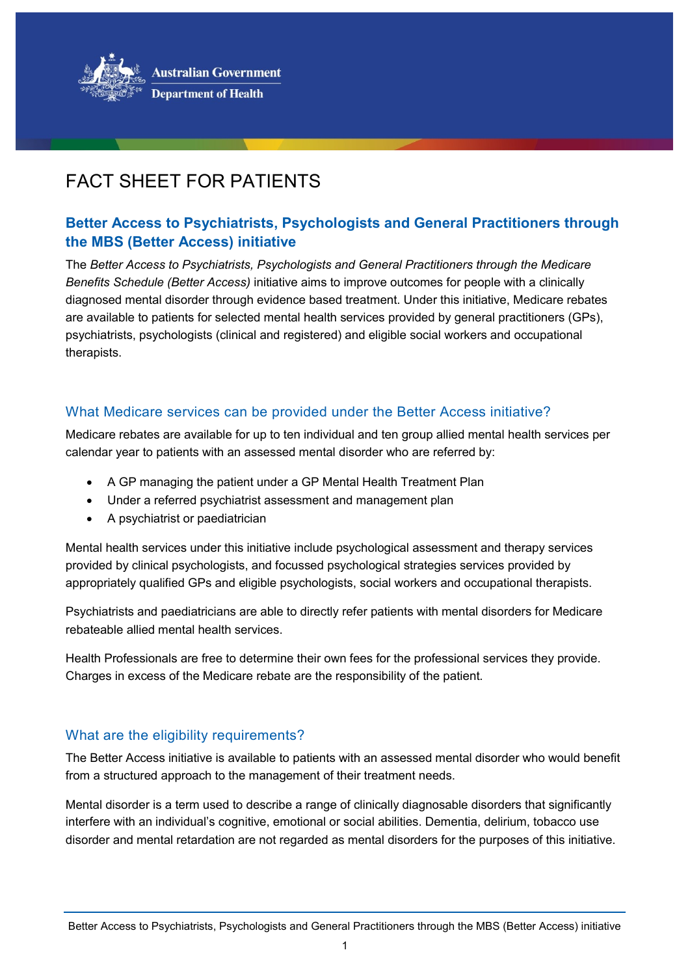

# FACT SHEET FOR PATIENTS

# **Better Access to Psychiatrists, Psychologists and General Practitioners through the MBS (Better Access) initiative**

The *Better Access to Psychiatrists, Psychologists and General Practitioners through the Medicare Benefits Schedule (Better Access)* initiative aims to improve outcomes for people with a clinically diagnosed mental disorder through evidence based treatment. Under this initiative, Medicare rebates are available to patients for selected mental health services provided by general practitioners (GPs), psychiatrists, psychologists (clinical and registered) and eligible social workers and occupational therapists.

# What Medicare services can be provided under the Better Access initiative?

Medicare rebates are available for up to ten individual and ten group allied mental health services per calendar year to patients with an assessed mental disorder who are referred by:

- A GP managing the patient under a GP Mental Health Treatment Plan
- Under a referred psychiatrist assessment and management plan
- A psychiatrist or paediatrician

Mental health services under this initiative include psychological assessment and therapy services provided by clinical psychologists, and focussed psychological strategies services provided by appropriately qualified GPs and eligible psychologists, social workers and occupational therapists.

Psychiatrists and paediatricians are able to directly refer patients with mental disorders for Medicare rebateable allied mental health services.

Health Professionals are free to determine their own fees for the professional services they provide. Charges in excess of the Medicare rebate are the responsibility of the patient.

#### What are the eligibility requirements?

The Better Access initiative is available to patients with an assessed mental disorder who would benefit from a structured approach to the management of their treatment needs.

Mental disorder is a term used to describe a range of clinically diagnosable disorders that significantly interfere with an individual's cognitive, emotional or social abilities. Dementia, delirium, tobacco use disorder and mental retardation are not regarded as mental disorders for the purposes of this initiative.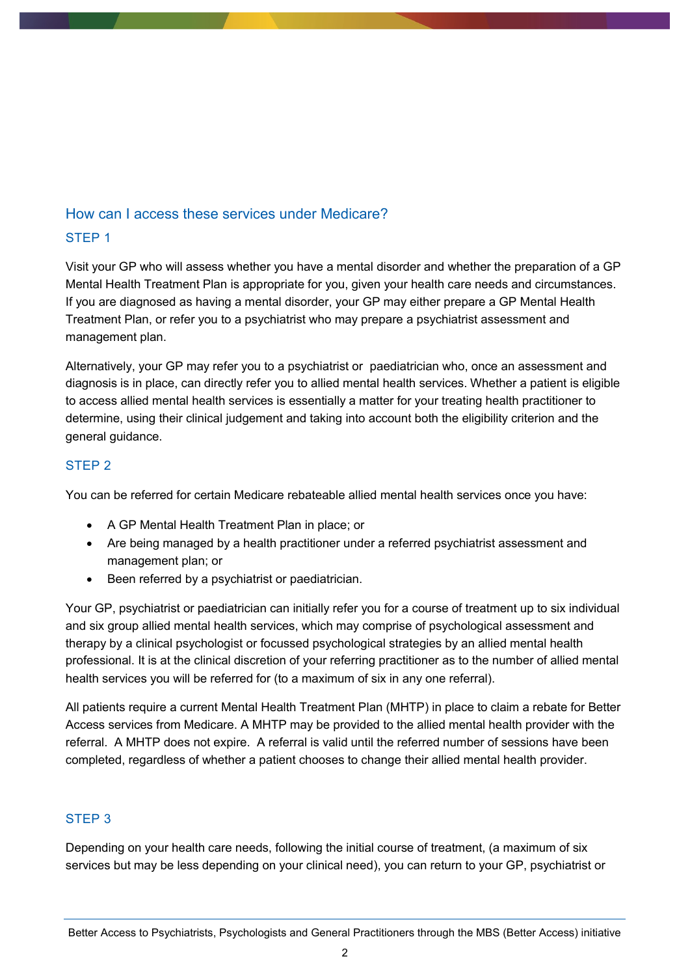# How can I access these services under Medicare?

#### STEP 1

Visit your GP who will assess whether you have a mental disorder and whether the preparation of a GP Mental Health Treatment Plan is appropriate for you, given your health care needs and circumstances. If you are diagnosed as having a mental disorder, your GP may either prepare a GP Mental Health Treatment Plan, or refer you to a psychiatrist who may prepare a psychiatrist assessment and management plan.

Alternatively, your GP may refer you to a psychiatrist or paediatrician who, once an assessment and diagnosis is in place, can directly refer you to allied mental health services. Whether a patient is eligible to access allied mental health services is essentially a matter for your treating health practitioner to determine, using their clinical judgement and taking into account both the eligibility criterion and the general guidance.

# STEP 2

You can be referred for certain Medicare rebateable allied mental health services once you have:

- A GP Mental Health Treatment Plan in place; or
- Are being managed by a health practitioner under a referred psychiatrist assessment and management plan; or
- Been referred by a psychiatrist or paediatrician.

Your GP, psychiatrist or paediatrician can initially refer you for a course of treatment up to six individual and six group allied mental health services, which may comprise of psychological assessment and therapy by a clinical psychologist or focussed psychological strategies by an allied mental health professional. It is at the clinical discretion of your referring practitioner as to the number of allied mental health services you will be referred for (to a maximum of six in any one referral).

All patients require a current Mental Health Treatment Plan (MHTP) in place to claim a rebate for Better Access services from Medicare. A MHTP may be provided to the allied mental health provider with the referral. A MHTP does not expire. A referral is valid until the referred number of sessions have been completed, regardless of whether a patient chooses to change their allied mental health provider.

# STEP 3

Depending on your health care needs, following the initial course of treatment, (a maximum of six services but may be less depending on your clinical need), you can return to your GP, psychiatrist or